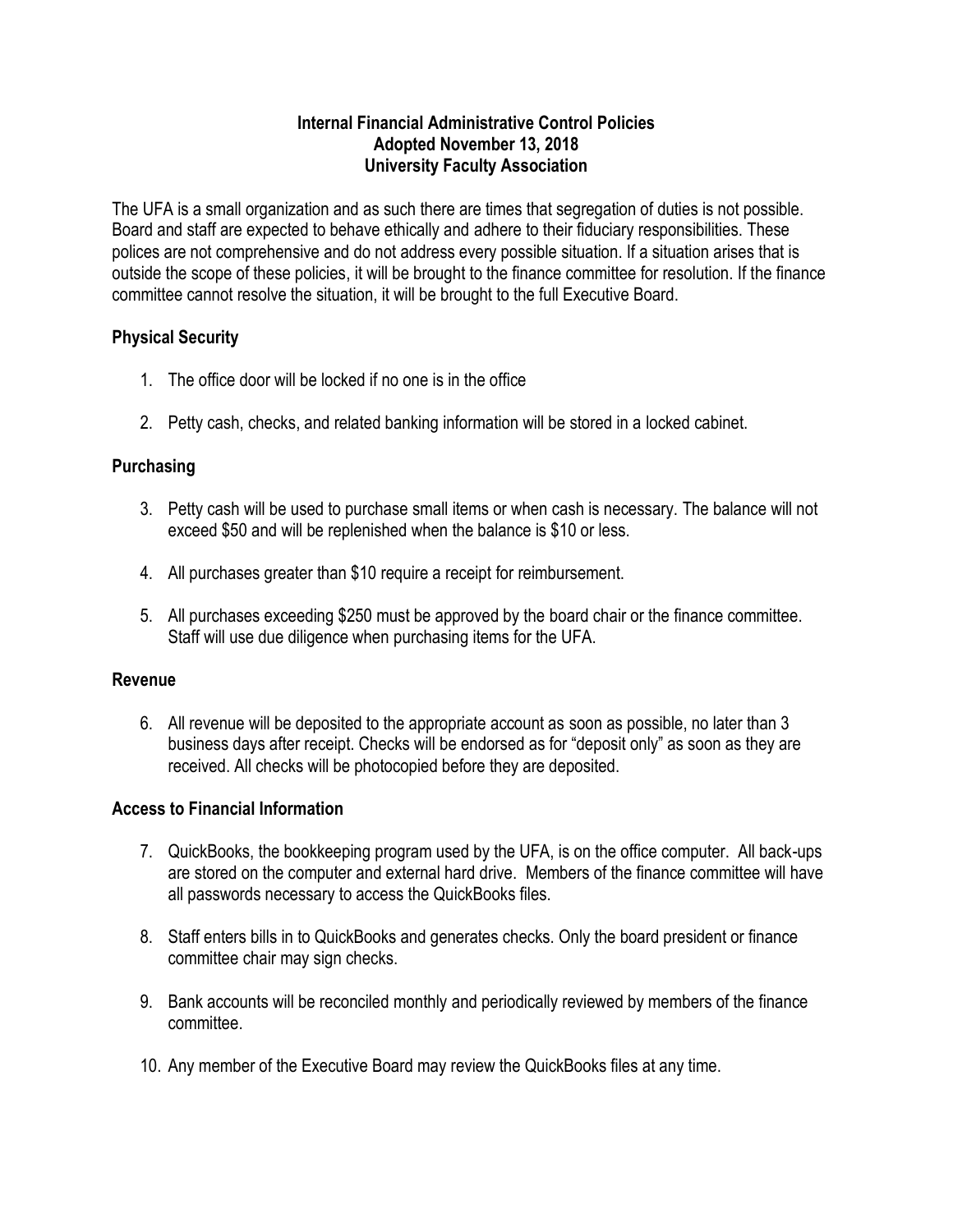#### **Internal Financial Administrative Control Policies Adopted November 13, 2018 University Faculty Association**

The UFA is a small organization and as such there are times that segregation of duties is not possible. Board and staff are expected to behave ethically and adhere to their fiduciary responsibilities. These polices are not comprehensive and do not address every possible situation. If a situation arises that is outside the scope of these policies, it will be brought to the finance committee for resolution. If the finance committee cannot resolve the situation, it will be brought to the full Executive Board.

## **Physical Security**

- 1. The office door will be locked if no one is in the office
- 2. Petty cash, checks, and related banking information will be stored in a locked cabinet.

# **Purchasing**

- 3. Petty cash will be used to purchase small items or when cash is necessary. The balance will not exceed \$50 and will be replenished when the balance is \$10 or less.
- 4. All purchases greater than \$10 require a receipt for reimbursement.
- 5. All purchases exceeding \$250 must be approved by the board chair or the finance committee. Staff will use due diligence when purchasing items for the UFA.

## **Revenue**

6. All revenue will be deposited to the appropriate account as soon as possible, no later than 3 business days after receipt. Checks will be endorsed as for "deposit only" as soon as they are received. All checks will be photocopied before they are deposited.

# **Access to Financial Information**

- 7. QuickBooks, the bookkeeping program used by the UFA, is on the office computer. All back-ups are stored on the computer and external hard drive. Members of the finance committee will have all passwords necessary to access the QuickBooks files.
- 8. Staff enters bills in to QuickBooks and generates checks. Only the board president or finance committee chair may sign checks.
- 9. Bank accounts will be reconciled monthly and periodically reviewed by members of the finance committee.
- 10. Any member of the Executive Board may review the QuickBooks files at any time.